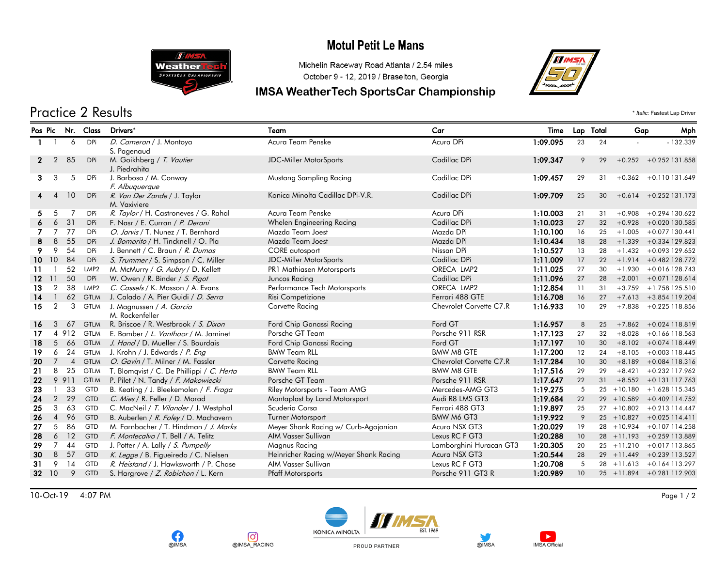## **Motul Petit Le Mans**



**OIMSA** 

lO,

@IMSA RACING

#### Michelin Raceway Road Atlanta / 2.54 miles October 9 - 12, 2019 / Braselton, Georgia

### **IMSA WeatherTech SportsCar Championship**



Practice 2 Results \* *Italic:* Fastest Lap Driver

#### Pos Pic Nr. Class Drivers\* Team Car Time Lap Total Gap Mph D. Cameron / J. Montoya 1:09.095 - - 1 1 6 DPi Acura Team Penske Acura DPi 23 24 132.339 S. Pagenaud 2 2 85 DPi M. Goikhberg / *T. Vautier* 1:09.347 +0.252 131.858 Pic. 252 131.858 Pic. 252 151.858 Pic. 252 131.858 J. Piedrahita 3 3 5 DPi J.Barbosa / M. Conway Mustang Sampling Racing Cadillac DPi 1:**09.457** 31 +0.362 +0.110 131.649 F. Albuquerque R. Van Der Zande / J. Taylor 1:09.709 +0.614 +0.252 4 4 10 DPi Konica Minolta Cadillac DPi-V.R. Cadillac DPi 25 30 131.173 M. Vaxiviere 5 5 7 DPi R. Taylor / H. Castroneves / G. Rahal Acura Team Penske Acura DPi Acura DPi 1:10.003 21 31 +0.908 +0.294 130.622 6 6 31 DPi F. Nasr / E. Curran / P. Derani Whelen Engineering Racing Cadillac DPi 1:10.023 27 32 +0.928 +0.020 130.585 7 7 77 DPi O. Jarvis / T. Nunez / T. Bernhard Mazda Team Joest Mazda DPi Mazda DPi 1:10.100 16 25 +1.005 +0.077 130.441 8 8 55 DPi *J. Bomarito /* H. Tincknell / O. Pla Mazda Team Joest Mazda DPi Mazda DPi 1:10.434 18 28 +1.339 +0.334 129.823 9 9 54 DPi J. Bennett / C. Braun / *R. Dumas* CORE autosport CORE autosport Nissan DPi 1**:10.527** 13 28 +1.432 +0.093 129.652<br>10 10 84 DPi *S. Trummer* / S. Simpson / C. Miller JDC-Miller MotorSports Cadillac DPi 1:11.**009** 10 84 DPi S. Trummer / S. Simpson / C. Miller JDC-Miller MotorSports Cadillac DPi 1:11.009 17 22 +1.914 +0.482 128.772 11 1 52 LMP2 M. McMurry / G. Aubry / D. Kellett PR1 Mathiasen Motorsports ORECA LMP2 1:11.025 27 30 +1.930 +0.016 128.743 12 11 50 DPi W. Owen / R. Binder / S. Pigot Juncos Racing Cadillac DPi Cadillac DPi 1:11.096 27 28 +2.001 +0.071 128.614 13 2 38 LMP2 C. Cassels / K. Masson / A. Evans Performance Tech Motorsports ORECA LMP2 1:12.854 11 31 +3.759 +1.758 125.510 14 1 62 GTLM J. Calado / A. Pier Guidi / D. Serra Risi Competizione Risi Competizione Ferrari 488 GTE 1:16.708 16 27 +7.613 +3.854 119.204 15 2 3 GTLM J. Magnussen / *A. Garcia* Corvette Racing Corvette Racing Chevrolet Corvette C7.R 1:1**6.933** 10 29 +7.838 +0.225 118.856 M. Rockenfeller 16 3 67 GTLM R. Briscoe / R. Westbrook / S. Dixon Ford Chip Ganassi Racing Ford GT 1:16.957 8 25 +7.862 +0.024 118.819 17 4 912 GTLM E. Bamber / L. Vanthoor / M. Jaminet Porsche GT Team Porsche 911 RSR 1:17.123 27 32 +8.028 +0.166 118.563 18 5 66 GTLM J. Hand / D. Mueller / S. Bourdais Ford Chip Ganassi Racing Ford GT 1:17.197 10 30 +8.102 +0.074 118.449 19 6 24 GTLM J. Krohn / J. Edwards / P. Eng BMW Team RLL BMW M8 GTE 1:17.200 12 24 +8.105 +0.003 118.445 20 7 4 GTLM O. Gavin / T. Milner / M. Fassler Corvette Racing Corvette Racing Chevrolet Corvette C7.R 1:17.284 10 30 +8.189 +0.084 118.316 21 8 25 GTLM T. Blomqvist / C. De Phillippi / C. Herta BMW Team RLL BMW M8 GTE 1:17.516 29 29 +8.421 +0.232 117.962 22 9 911 GTLM P. Pilet / N. Tandy / F. Makowiecki Porsche GT Team Porsche 911 RSR 1:17.647 22 31 +8.552 +0.131 117.763 23 1 33 GTD B. Keating / J. Bleekemolen / *F. Fraga* Riley Motorsports - Team AMG Mercedes-AMG GT3 1:19.275 5 25 +10.180 +1.628 115.345<br>24 2 29 GTD *C. Mies* / R. Feller / D. Morad Motoraplast by Land Motorsport Audi R8 LM 24 2 29 GTD C. Mies / R. Feller / D. Morad Montaplast by Land Motorsport Audi R8 LMS GT3 1:19.684 22 29 +10.589 +0.409 114.752 25 3 63 GTD C. MacNeil / T. Vilander / J. Westphal Scuderia Corsa Ferrari 488 GT3 1:19.897 25 27 +10.802 +0.213 114.447 26 4 96 GTD B. Auberlen / R. Foley / D. Machavern Turner Motorsport BMW M6 GT3 1:19.922 9 25 +10.827 +0.025 114.411 27 5 86 GTD M. Farnbacher / T. Hindman / J. Marks Meyer Shank Racing w/ Curb-Agajanian Acura NSX GT3 1:20.029 19 28 +10.934 +0.107 114.258 28 6 12 GTD F. Montecalvo / T. Bell / A. Telitz AIM Vasser Sullivan Lexus RC F GT3 1:20.288 10 28 +11.193 +0.259 113.889 29 7 44 GTD J. Potter / A. Lally / *S. Pumpelly* Magnus Racing Magnus Racing Lamborghini Huracan GT3 1**:20.305** 20 25 +11.210 +0.017 113.865<br>20 8 57 GTD *K. Legge* / B. Figueiredo / C. Nielsen Heinricher Racing w/Meyer Sha 30 8 57 GTD K. Legge / B. Figueiredo / C. Nielsen Heinricher Racing w/Meyer Shank Racing Acura NSX GT3 1:20.544 28 29 +11.449 +0.239 113.527 31 9 14 GTD R. Heistand / J. Hawksworth / P. Chase AIM Vasser Sullivan Lexus RC F GT3 1:20.708 5 28 +11.613 +0.164 113.297 32 10 9 GTD S. Hargrove / Z. Robichon / L. Kern Pfaff Motorsports Porsche 911 GT3 R 1:20.989 10 25 +11.894 +0.281 112.903

10-Oct-19 4:07 PM Page 1 / 2







PROUD PARTNER